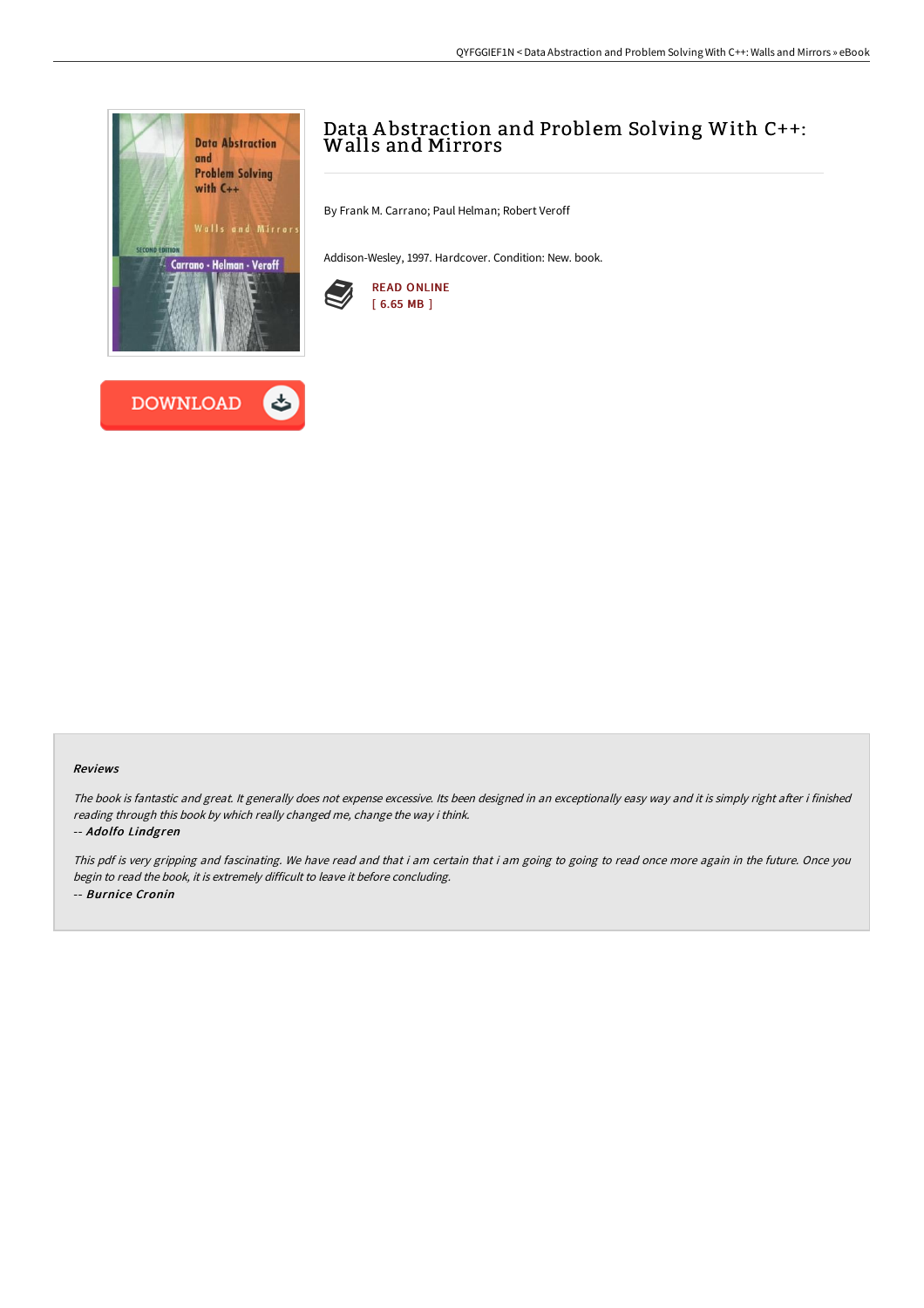



## Data A bstraction and Problem Solving With C++: Walls and Mirrors

By Frank M. Carrano; Paul Helman; Robert Veroff

Addison-Wesley, 1997. Hardcover. Condition: New. book.



## Reviews

The book is fantastic and great. It generally does not expense excessive. Its been designed in an exceptionally easy way and it is simply right after i finished reading through this book by which really changed me, change the way i think. -- Adolfo Lindgren

This pdf is very gripping and fascinating. We have read and that i am certain that i am going to going to read once more again in the future. Once you begin to read the book, it is extremely difficult to leave it before concluding. -- Burnice Cronin